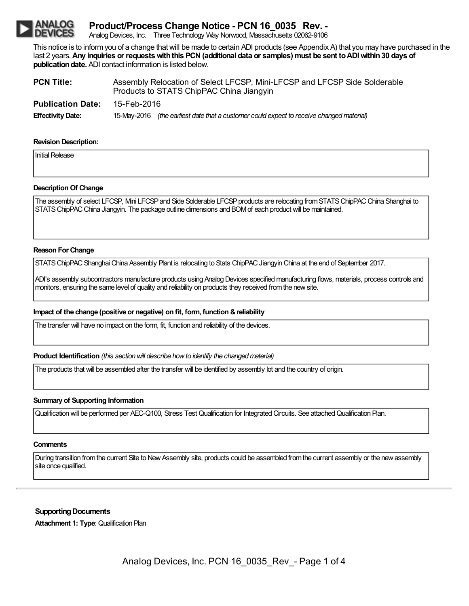# **Product/Process Change Notice - PCN 16\_0035 Rev. -**

Analog Devices, Inc. Three Technology Way Norwood, Massachusetts 02062-9106

This notice is to informyou of a change thatwill be made to certain ADI products (see Appendix A) that you may have purchased in the last 2 years.**Any inquiries or requestswiththis PCN(additional data or samples) must be sent toADIwithin30 days of publication date.** ADI contact information is listed below.

| <b>PCN Title:</b>        | Assembly Relocation of Select LFCSP, Mini-LFCSP and LFCSP Side Solderable<br>Products to STATS ChipPAC China Jiangyin |  |  |  |
|--------------------------|-----------------------------------------------------------------------------------------------------------------------|--|--|--|
| <b>Publication Date:</b> | 15-Feb-2016                                                                                                           |  |  |  |
| <b>Effectivity Date:</b> | 15-May-2016 (the earliest date that a customer could expect to receive changed material)                              |  |  |  |

#### **Revision Description:**

**Initial Release** 

### **Description Of Change**

The assembly of select LFCSP, Mini LFCSP and Side Solderable LFCSP products are relocating from STATS ChipPAC China Shanghai to STATS ChipPAC China Jiangyin. The package outline dimensions and BOM of each product will be maintained.

#### **Reason ForChange**

STATS ChipPAC Shanghai China Assembly Plant is relocating to Stats ChipPAC Jiangyin China at the end of September 2017.

ADI's assembly subcontractors manufacture products using Analog Devices specified manufacturing flows, materials, process controls and monitors, ensuring the same level of quality and reliability on products they received fromthe newsite.

### **Impact of the change (positive or negative) on fit, form, function &reliability**

The transfer will have no impact on the form, fit, function and reliability of the devices.

**Product Identification** *(this section will describe how to identify the changed material)* 

The products that will be assembled after the transfer will be identified by assembly lot and the country of origin.

### **Summary of Supporting Information**

Qualification will be performed per AEC-Q100, Stress Test Qualification for Integrated Circuits. See attached Qualification Plan.

#### **Comments**

During transition from the current Site to New Assembly site, products could be assembled from the current assembly or the new assembly site once qualified.

## **Supporting Documents**

**Attachment 1: Type**: Qualification Plan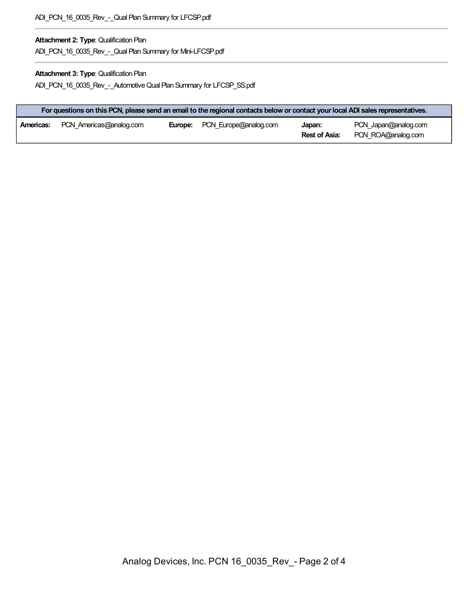## **Attachment 2: Type**: Qualification Plan

ADI\_PCN\_16\_0035\_Rev\_-\_Qual Plan Summary for Mini-LFCSP.pdf

## **Attachment 3: Type**: Qualification Plan

ADI\_PCN\_16\_0035\_Rev\_-\_AutomotiveQual Plan Summary for LFCSP\_SS.pdf

|           | For questions on this PCN, please send an email to the regional contacts below or contact your local ADI sales representatives. |  |                                      |                         |                                            |
|-----------|---------------------------------------------------------------------------------------------------------------------------------|--|--------------------------------------|-------------------------|--------------------------------------------|
| Americas: | PCN Americas@analog.com                                                                                                         |  | <b>Europe:</b> PCN Europe@analog.com | Japan:<br>Rest of Asia: | PCN Japan@analog.com<br>PCN ROA@analog.com |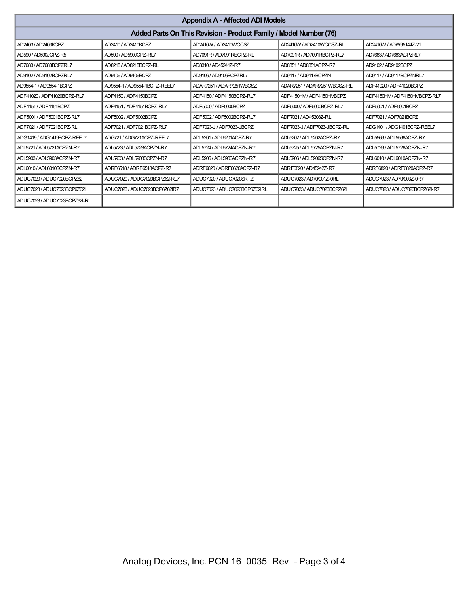| <b>Appendix A - Affected ADI Models</b>                           |                               |                               |                              |                               |  |  |
|-------------------------------------------------------------------|-------------------------------|-------------------------------|------------------------------|-------------------------------|--|--|
| Added Parts On This Revision - Product Family / Model Number (76) |                               |                               |                              |                               |  |  |
| AD2403 / AD2403KCPZ                                               | AD2410 / AD2410KCPZ           | AD2410W / AD2410WCCSZ         | AD2410W / AD2410WCCSZ-RL     | AD2410W / ADW95144Z-21        |  |  |
| AD590 / AD590JCPZ-R5                                              | AD590 / AD590JCPZ-RL7         | AD7091R / AD7091RBCPZ-RL      | AD7091R / AD7091RBCPZ-RL7    | AD7683 / AD7683ACPZRL7        |  |  |
| AD7683 / AD7683BCPZRL7                                            | AD8218 / AD8218BCPZ-RL        | AD8310 / AD45241Z-R7          | AD8351 / AD8351ACPZ-R7       | AD9102 / AD9102BCPZ           |  |  |
| AD9102 / AD9102BCPZRL7                                            | AD9106 / AD9106BCPZ           | AD9106 / AD9106BCPZRL7        | AD9117 / AD9117BCPZN         | AD9117 / AD9117BCPZNRL7       |  |  |
| AD9554-1 / AD9554-1BCPZ                                           | AD9554-1 / AD9554-1BCPZ-REEL7 | ADAR7251 / ADAR7251WBCSZ      | ADAR7251 / ADAR7251WBCSZ-RL  | ADF41020 / ADF41020BCPZ       |  |  |
| ADF41020 / ADF41020BCPZ-RL7                                       | ADF4150 / ADF4150BCPZ         | ADF4150 / ADF4150BCPZ-RL7     | ADF4150HV / ADF4150HVBCPZ    | ADF4150HV / ADF4150HVBCPZ-RL7 |  |  |
| ADF4151 / ADF4151BCPZ                                             | ADF4151 / ADF4151BCPZ-RL7     | ADF5000 / ADF5000BCPZ         | ADF5000 / ADF5000BCPZ-RL7    | ADF5001 / ADF5001BCPZ         |  |  |
| ADF5001 / ADF5001BCPZ-RL7                                         | ADF5002 / ADF5002BCPZ         | ADF5002 / ADF5002BCPZ-RL7     | ADF7021 / AD45208Z-RL        | ADF7021 / ADF7021BCPZ         |  |  |
| ADF7021 / ADF7021BCPZ-RL                                          | ADF7021 / ADF7021BCPZ-RL7     | ADF7023-J / ADF7023-JBCPZ     | ADF7023-J / ADF7023-JBCPZ-RL | ADG1401 / ADG1401BCPZ-REEL7   |  |  |
| ADG1419/ADG1419BCPZ-REEL7                                         | ADG721 / ADG721ACPZ-REEL7     | ADL5201 / ADL5201ACPZ-R7      | ADL5202 / ADL5202ACPZ-R7     | ADL5566 / ADL5566ACPZ-R7      |  |  |
| ADL5721 / ADL5721ACPZN-R7                                         | ADL5723 / ADL5723ACPZN-R7     | ADL5724 / ADL5724ACPZN-R7     | ADL5725 / ADL5725ACPZN-R7    | ADL5726 / ADL5726ACPZN-R7     |  |  |
| ADL5903 / ADL5903ACPZN-R7                                         | ADL5903 / ADL5903SCPZN-R7     | ADL5906 / ADL5906ACPZN-R7     | ADL5906 / ADL5906SCPZN-R7    | ADL6010 / ADL6010ACPZN-R7     |  |  |
| ADL6010 / ADL6010SCPZN-R7                                         | ADRF6518/ADRF6518ACPZ-R7      | ADRF6620 / ADRF6620ACPZ-R7    | ADRF6820 / AD45242Z-R7       | ADRF6820 / ADRF6820ACPZ-R7    |  |  |
| ADUC7020 / ADUC7020BCPZ62                                         | ADUC7020 / ADUC7020BCPZ62-RL7 | ADUC7020 / ADUC7020SRTZ       | ADUC7023/AD70/001Z-0RL       | ADUC7023/AD70/003Z-0R7        |  |  |
| ADUC7023 / ADUC7023BCP6Z62I                                       | ADUC7023 / ADUC7023BCP6Z62IR7 | ADUC7023 / ADUC7023BCP6Z62IRL | ADUC7023 / ADUC7023BCPZ62I   | ADUC7023 / ADUC7023BCPZ62I-R7 |  |  |
| ADUC7023 / ADUC7023BCPZ62I-RL                                     |                               |                               |                              |                               |  |  |